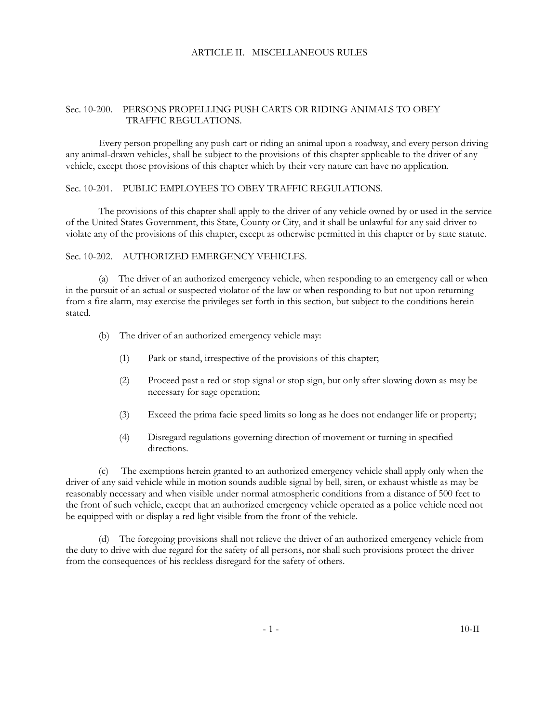### ARTICLE II. MISCELLANEOUS RULES

### Sec. 10-200. PERSONS PROPELLING PUSH CARTS OR RIDING ANIMALS TO OBEY TRAFFIC REGULATIONS.

Every person propelling any push cart or riding an animal upon a roadway, and every person driving any animal-drawn vehicles, shall be subject to the provisions of this chapter applicable to the driver of any vehicle, except those provisions of this chapter which by their very nature can have no application.

### Sec. 10-201. PUBLIC EMPLOYEES TO OBEY TRAFFIC REGULATIONS.

The provisions of this chapter shall apply to the driver of any vehicle owned by or used in the service of the United States Government, this State, County or City, and it shall be unlawful for any said driver to violate any of the provisions of this chapter, except as otherwise permitted in this chapter or by state statute.

# Sec. 10-202. AUTHORIZED EMERGENCY VEHICLES.

(a) The driver of an authorized emergency vehicle, when responding to an emergency call or when in the pursuit of an actual or suspected violator of the law or when responding to but not upon returning from a fire alarm, may exercise the privileges set forth in this section, but subject to the conditions herein stated.

- (b) The driver of an authorized emergency vehicle may:
	- (1) Park or stand, irrespective of the provisions of this chapter;
	- (2) Proceed past a red or stop signal or stop sign, but only after slowing down as may be necessary for sage operation;
	- (3) Exceed the prima facie speed limits so long as he does not endanger life or property;
	- (4) Disregard regulations governing direction of movement or turning in specified directions.

(c) The exemptions herein granted to an authorized emergency vehicle shall apply only when the driver of any said vehicle while in motion sounds audible signal by bell, siren, or exhaust whistle as may be reasonably necessary and when visible under normal atmospheric conditions from a distance of 500 feet to the front of such vehicle, except that an authorized emergency vehicle operated as a police vehicle need not be equipped with or display a red light visible from the front of the vehicle.

(d) The foregoing provisions shall not relieve the driver of an authorized emergency vehicle from the duty to drive with due regard for the safety of all persons, nor shall such provisions protect the driver from the consequences of his reckless disregard for the safety of others.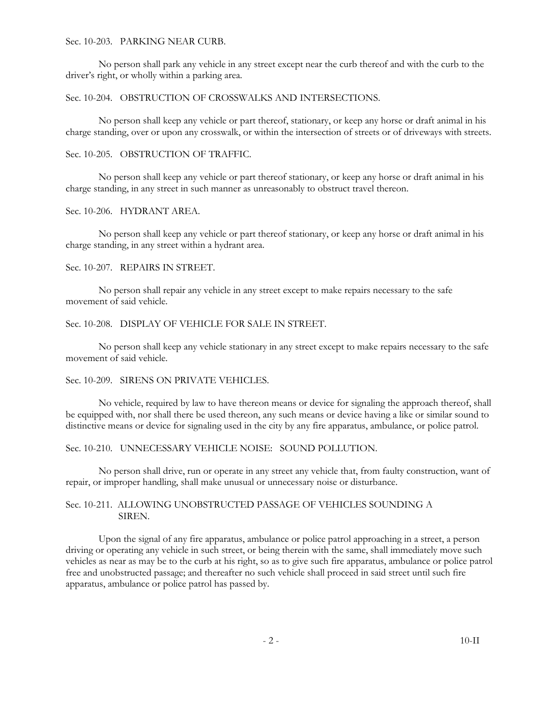#### Sec. 10-203. PARKING NEAR CURB.

No person shall park any vehicle in any street except near the curb thereof and with the curb to the driver's right, or wholly within a parking area.

#### Sec. 10-204. OBSTRUCTION OF CROSSWALKS AND INTERSECTIONS.

No person shall keep any vehicle or part thereof, stationary, or keep any horse or draft animal in his charge standing, over or upon any crosswalk, or within the intersection of streets or of driveways with streets.

#### Sec. 10-205. OBSTRUCTION OF TRAFFIC.

No person shall keep any vehicle or part thereof stationary, or keep any horse or draft animal in his charge standing, in any street in such manner as unreasonably to obstruct travel thereon.

## Sec. 10-206. HYDRANT AREA.

No person shall keep any vehicle or part thereof stationary, or keep any horse or draft animal in his charge standing, in any street within a hydrant area.

#### Sec. 10-207. REPAIRS IN STREET.

No person shall repair any vehicle in any street except to make repairs necessary to the safe movement of said vehicle.

#### Sec. 10-208. DISPLAY OF VEHICLE FOR SALE IN STREET.

No person shall keep any vehicle stationary in any street except to make repairs necessary to the safe movement of said vehicle.

#### Sec. 10-209. SIRENS ON PRIVATE VEHICLES.

No vehicle, required by law to have thereon means or device for signaling the approach thereof, shall be equipped with, nor shall there be used thereon, any such means or device having a like or similar sound to distinctive means or device for signaling used in the city by any fire apparatus, ambulance, or police patrol.

#### Sec. 10-210. UNNECESSARY VEHICLE NOISE: SOUND POLLUTION.

No person shall drive, run or operate in any street any vehicle that, from faulty construction, want of repair, or improper handling, shall make unusual or unnecessary noise or disturbance.

### Sec. 10-211. ALLOWING UNOBSTRUCTED PASSAGE OF VEHICLES SOUNDING A SIREN.

Upon the signal of any fire apparatus, ambulance or police patrol approaching in a street, a person driving or operating any vehicle in such street, or being therein with the same, shall immediately move such vehicles as near as may be to the curb at his right, so as to give such fire apparatus, ambulance or police patrol free and unobstructed passage; and thereafter no such vehicle shall proceed in said street until such fire apparatus, ambulance or police patrol has passed by.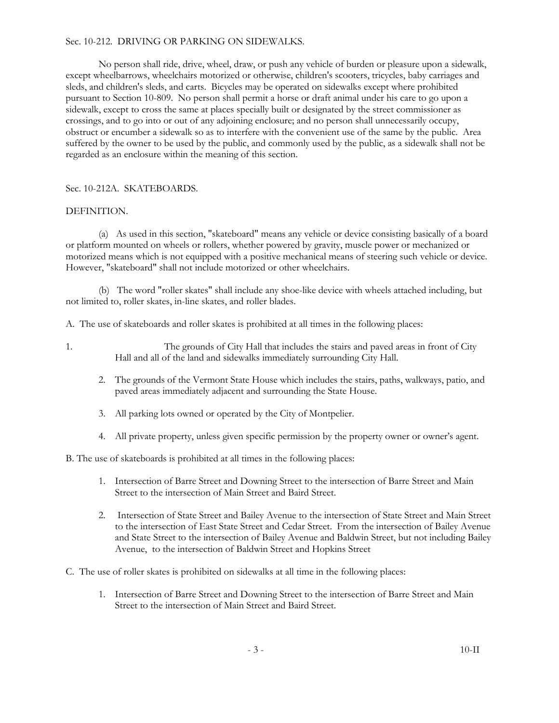## Sec. 10-212. DRIVING OR PARKING ON SIDEWALKS.

No person shall ride, drive, wheel, draw, or push any vehicle of burden or pleasure upon a sidewalk, except wheelbarrows, wheelchairs motorized or otherwise, children's scooters, tricycles, baby carriages and sleds, and children's sleds, and carts. Bicycles may be operated on sidewalks except where prohibited pursuant to Section 10-809. No person shall permit a horse or draft animal under his care to go upon a sidewalk, except to cross the same at places specially built or designated by the street commissioner as crossings, and to go into or out of any adjoining enclosure; and no person shall unnecessarily occupy, obstruct or encumber a sidewalk so as to interfere with the convenient use of the same by the public. Area suffered by the owner to be used by the public, and commonly used by the public, as a sidewalk shall not be regarded as an enclosure within the meaning of this section.

# Sec. 10-212A. SKATEBOARDS.

## DEFINITION.

(a) As used in this section, "skateboard" means any vehicle or device consisting basically of a board or platform mounted on wheels or rollers, whether powered by gravity, muscle power or mechanized or motorized means which is not equipped with a positive mechanical means of steering such vehicle or device. However, "skateboard" shall not include motorized or other wheelchairs.

(b) The word "roller skates" shall include any shoe-like device with wheels attached including, but not limited to, roller skates, in-line skates, and roller blades.

A. The use of skateboards and roller skates is prohibited at all times in the following places:

- 1. The grounds of City Hall that includes the stairs and paved areas in front of City Hall and all of the land and sidewalks immediately surrounding City Hall.
	- 2. The grounds of the Vermont State House which includes the stairs, paths, walkways, patio, and paved areas immediately adjacent and surrounding the State House.
	- 3. All parking lots owned or operated by the City of Montpelier.
	- 4. All private property, unless given specific permission by the property owner or owner's agent.

B. The use of skateboards is prohibited at all times in the following places:

- 1. Intersection of Barre Street and Downing Street to the intersection of Barre Street and Main Street to the intersection of Main Street and Baird Street.
- 2. Intersection of State Street and Bailey Avenue to the intersection of State Street and Main Street to the intersection of East State Street and Cedar Street. From the intersection of Bailey Avenue and State Street to the intersection of Bailey Avenue and Baldwin Street, but not including Bailey Avenue, to the intersection of Baldwin Street and Hopkins Street
- C. The use of roller skates is prohibited on sidewalks at all time in the following places:
	- 1. Intersection of Barre Street and Downing Street to the intersection of Barre Street and Main Street to the intersection of Main Street and Baird Street.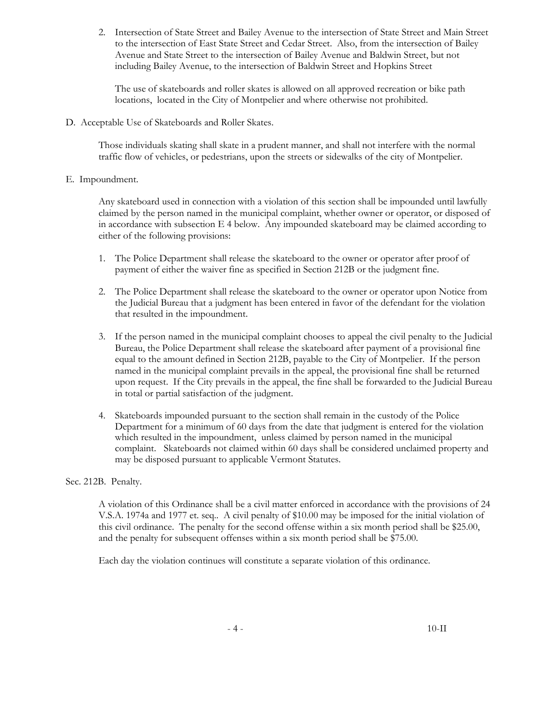2. Intersection of State Street and Bailey Avenue to the intersection of State Street and Main Street to the intersection of East State Street and Cedar Street. Also, from the intersection of Bailey Avenue and State Street to the intersection of Bailey Avenue and Baldwin Street, but not including Bailey Avenue, to the intersection of Baldwin Street and Hopkins Street

The use of skateboards and roller skates is allowed on all approved recreation or bike path locations, located in the City of Montpelier and where otherwise not prohibited.

D. Acceptable Use of Skateboards and Roller Skates.

Those individuals skating shall skate in a prudent manner, and shall not interfere with the normal traffic flow of vehicles, or pedestrians, upon the streets or sidewalks of the city of Montpelier.

### E. Impoundment.

Any skateboard used in connection with a violation of this section shall be impounded until lawfully claimed by the person named in the municipal complaint, whether owner or operator, or disposed of in accordance with subsection E 4 below. Any impounded skateboard may be claimed according to either of the following provisions:

- 1. The Police Department shall release the skateboard to the owner or operator after proof of payment of either the waiver fine as specified in Section 212B or the judgment fine.
- 2. The Police Department shall release the skateboard to the owner or operator upon Notice from the Judicial Bureau that a judgment has been entered in favor of the defendant for the violation that resulted in the impoundment.
- 3. If the person named in the municipal complaint chooses to appeal the civil penalty to the Judicial Bureau, the Police Department shall release the skateboard after payment of a provisional fine equal to the amount defined in Section 212B, payable to the City of Montpelier. If the person named in the municipal complaint prevails in the appeal, the provisional fine shall be returned upon request. If the City prevails in the appeal, the fine shall be forwarded to the Judicial Bureau in total or partial satisfaction of the judgment.
- 4. Skateboards impounded pursuant to the section shall remain in the custody of the Police Department for a minimum of 60 days from the date that judgment is entered for the violation which resulted in the impoundment, unless claimed by person named in the municipal complaint. Skateboards not claimed within 60 days shall be considered unclaimed property and may be disposed pursuant to applicable Vermont Statutes.

# Sec. 212B. Penalty.

A violation of this Ordinance shall be a civil matter enforced in accordance with the provisions of 24 V.S.A. 1974a and 1977 et. seq.. A civil penalty of \$10.00 may be imposed for the initial violation of this civil ordinance. The penalty for the second offense within a six month period shall be \$25.00, and the penalty for subsequent offenses within a six month period shall be \$75.00.

Each day the violation continues will constitute a separate violation of this ordinance.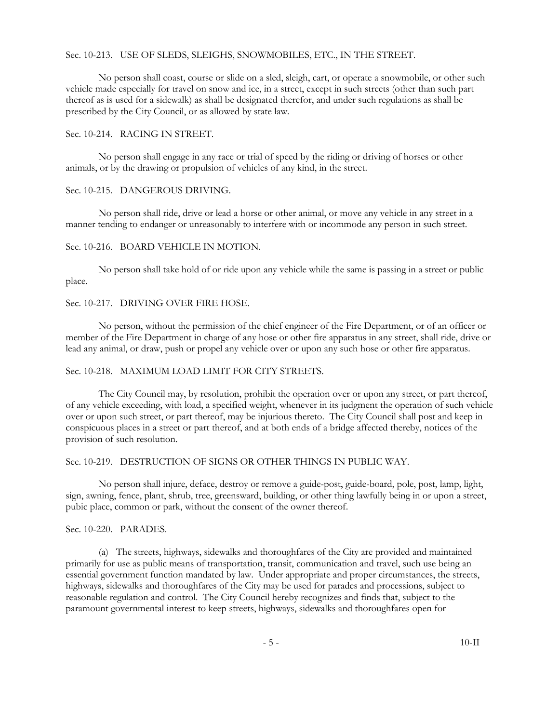### Sec. 10-213. USE OF SLEDS, SLEIGHS, SNOWMOBILES, ETC., IN THE STREET.

No person shall coast, course or slide on a sled, sleigh, cart, or operate a snowmobile, or other such vehicle made especially for travel on snow and ice, in a street, except in such streets (other than such part thereof as is used for a sidewalk) as shall be designated therefor, and under such regulations as shall be prescribed by the City Council, or as allowed by state law.

#### Sec. 10-214. RACING IN STREET.

No person shall engage in any race or trial of speed by the riding or driving of horses or other animals, or by the drawing or propulsion of vehicles of any kind, in the street.

#### Sec. 10-215. DANGEROUS DRIVING.

No person shall ride, drive or lead a horse or other animal, or move any vehicle in any street in a manner tending to endanger or unreasonably to interfere with or incommode any person in such street.

## Sec. 10-216. BOARD VEHICLE IN MOTION.

No person shall take hold of or ride upon any vehicle while the same is passing in a street or public place.

### Sec. 10-217. DRIVING OVER FIRE HOSE.

No person, without the permission of the chief engineer of the Fire Department, or of an officer or member of the Fire Department in charge of any hose or other fire apparatus in any street, shall ride, drive or lead any animal, or draw, push or propel any vehicle over or upon any such hose or other fire apparatus.

### Sec. 10-218. MAXIMUM LOAD LIMIT FOR CITY STREETS.

The City Council may, by resolution, prohibit the operation over or upon any street, or part thereof, of any vehicle exceeding, with load, a specified weight, whenever in its judgment the operation of such vehicle over or upon such street, or part thereof, may be injurious thereto. The City Council shall post and keep in conspicuous places in a street or part thereof, and at both ends of a bridge affected thereby, notices of the provision of such resolution.

### Sec. 10-219. DESTRUCTION OF SIGNS OR OTHER THINGS IN PUBLIC WAY.

No person shall injure, deface, destroy or remove a guide-post, guide-board, pole, post, lamp, light, sign, awning, fence, plant, shrub, tree, greensward, building, or other thing lawfully being in or upon a street, pubic place, common or park, without the consent of the owner thereof.

### Sec. 10-220. PARADES.

(a) The streets, highways, sidewalks and thoroughfares of the City are provided and maintained primarily for use as public means of transportation, transit, communication and travel, such use being an essential government function mandated by law. Under appropriate and proper circumstances, the streets, highways, sidewalks and thoroughfares of the City may be used for parades and processions, subject to reasonable regulation and control. The City Council hereby recognizes and finds that, subject to the paramount governmental interest to keep streets, highways, sidewalks and thoroughfares open for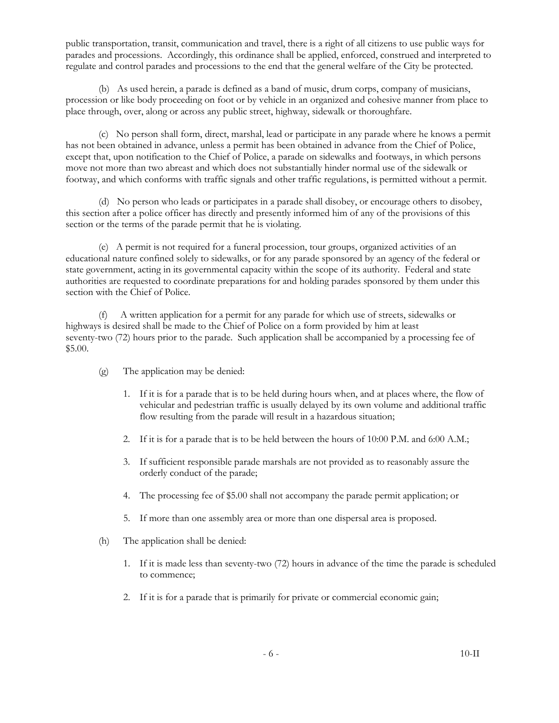public transportation, transit, communication and travel, there is a right of all citizens to use public ways for parades and processions. Accordingly, this ordinance shall be applied, enforced, construed and interpreted to regulate and control parades and processions to the end that the general welfare of the City be protected.

(b) As used herein, a parade is defined as a band of music, drum corps, company of musicians, procession or like body proceeding on foot or by vehicle in an organized and cohesive manner from place to place through, over, along or across any public street, highway, sidewalk or thoroughfare.

(c) No person shall form, direct, marshal, lead or participate in any parade where he knows a permit has not been obtained in advance, unless a permit has been obtained in advance from the Chief of Police, except that, upon notification to the Chief of Police, a parade on sidewalks and footways, in which persons move not more than two abreast and which does not substantially hinder normal use of the sidewalk or footway, and which conforms with traffic signals and other traffic regulations, is permitted without a permit.

(d) No person who leads or participates in a parade shall disobey, or encourage others to disobey, this section after a police officer has directly and presently informed him of any of the provisions of this section or the terms of the parade permit that he is violating.

(e) A permit is not required for a funeral procession, tour groups, organized activities of an educational nature confined solely to sidewalks, or for any parade sponsored by an agency of the federal or state government, acting in its governmental capacity within the scope of its authority. Federal and state authorities are requested to coordinate preparations for and holding parades sponsored by them under this section with the Chief of Police.

(f) A written application for a permit for any parade for which use of streets, sidewalks or highways is desired shall be made to the Chief of Police on a form provided by him at least seventy-two (72) hours prior to the parade. Such application shall be accompanied by a processing fee of \$5.00.

- (g) The application may be denied:
	- 1. If it is for a parade that is to be held during hours when, and at places where, the flow of vehicular and pedestrian traffic is usually delayed by its own volume and additional traffic flow resulting from the parade will result in a hazardous situation;
	- 2. If it is for a parade that is to be held between the hours of 10:00 P.M. and 6:00 A.M.;
	- 3. If sufficient responsible parade marshals are not provided as to reasonably assure the orderly conduct of the parade;
	- 4. The processing fee of \$5.00 shall not accompany the parade permit application; or
	- 5. If more than one assembly area or more than one dispersal area is proposed.
- (h) The application shall be denied:
	- 1. If it is made less than seventy-two (72) hours in advance of the time the parade is scheduled to commence;
	- 2. If it is for a parade that is primarily for private or commercial economic gain;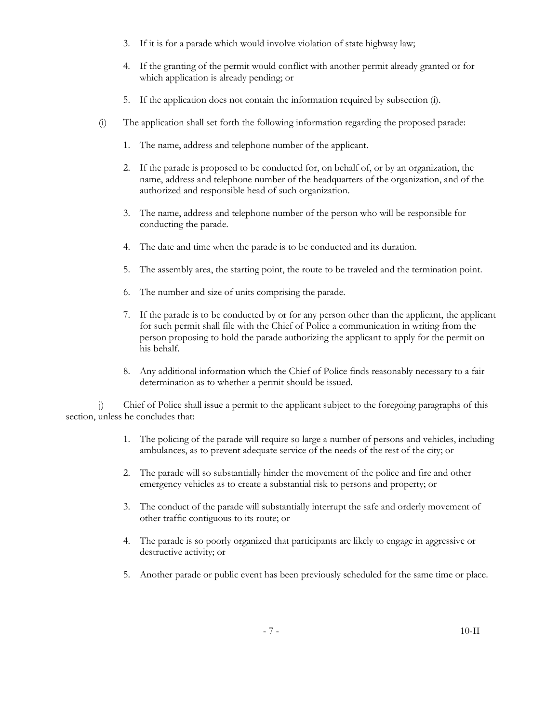- 3. If it is for a parade which would involve violation of state highway law;
- 4. If the granting of the permit would conflict with another permit already granted or for which application is already pending; or
- 5. If the application does not contain the information required by subsection (i).
- (i) The application shall set forth the following information regarding the proposed parade:
	- 1. The name, address and telephone number of the applicant.
	- 2. If the parade is proposed to be conducted for, on behalf of, or by an organization, the name, address and telephone number of the headquarters of the organization, and of the authorized and responsible head of such organization.
	- 3. The name, address and telephone number of the person who will be responsible for conducting the parade.
	- 4. The date and time when the parade is to be conducted and its duration.
	- 5. The assembly area, the starting point, the route to be traveled and the termination point.
	- 6. The number and size of units comprising the parade.
	- 7. If the parade is to be conducted by or for any person other than the applicant, the applicant for such permit shall file with the Chief of Police a communication in writing from the person proposing to hold the parade authorizing the applicant to apply for the permit on his behalf.
	- 8. Any additional information which the Chief of Police finds reasonably necessary to a fair determination as to whether a permit should be issued.

j) Chief of Police shall issue a permit to the applicant subject to the foregoing paragraphs of this section, unless he concludes that:

- 1. The policing of the parade will require so large a number of persons and vehicles, including ambulances, as to prevent adequate service of the needs of the rest of the city; or
- 2. The parade will so substantially hinder the movement of the police and fire and other emergency vehicles as to create a substantial risk to persons and property; or
- 3. The conduct of the parade will substantially interrupt the safe and orderly movement of other traffic contiguous to its route; or
- 4. The parade is so poorly organized that participants are likely to engage in aggressive or destructive activity; or
- 5. Another parade or public event has been previously scheduled for the same time or place.

- 7 - 10-II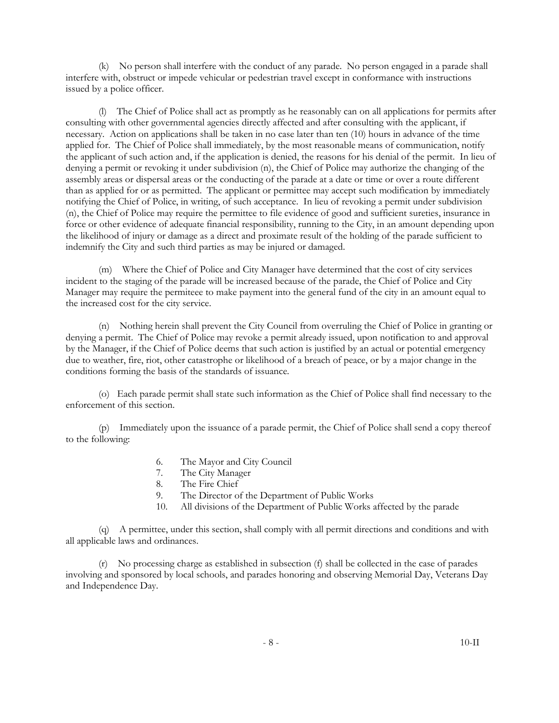(k) No person shall interfere with the conduct of any parade. No person engaged in a parade shall interfere with, obstruct or impede vehicular or pedestrian travel except in conformance with instructions issued by a police officer.

(l) The Chief of Police shall act as promptly as he reasonably can on all applications for permits after consulting with other governmental agencies directly affected and after consulting with the applicant, if necessary. Action on applications shall be taken in no case later than ten (10) hours in advance of the time applied for. The Chief of Police shall immediately, by the most reasonable means of communication, notify the applicant of such action and, if the application is denied, the reasons for his denial of the permit. In lieu of denying a permit or revoking it under subdivision (n), the Chief of Police may authorize the changing of the assembly areas or dispersal areas or the conducting of the parade at a date or time or over a route different than as applied for or as permitted. The applicant or permittee may accept such modification by immediately notifying the Chief of Police, in writing, of such acceptance. In lieu of revoking a permit under subdivision (n), the Chief of Police may require the permittee to file evidence of good and sufficient sureties, insurance in force or other evidence of adequate financial responsibility, running to the City, in an amount depending upon the likelihood of injury or damage as a direct and proximate result of the holding of the parade sufficient to indemnify the City and such third parties as may be injured or damaged.

(m) Where the Chief of Police and City Manager have determined that the cost of city services incident to the staging of the parade will be increased because of the parade, the Chief of Police and City Manager may require the permiteee to make payment into the general fund of the city in an amount equal to the increased cost for the city service.

(n) Nothing herein shall prevent the City Council from overruling the Chief of Police in granting or denying a permit. The Chief of Police may revoke a permit already issued, upon notification to and approval by the Manager, if the Chief of Police deems that such action is justified by an actual or potential emergency due to weather, fire, riot, other catastrophe or likelihood of a breach of peace, or by a major change in the conditions forming the basis of the standards of issuance.

(o) Each parade permit shall state such information as the Chief of Police shall find necessary to the enforcement of this section.

(p) Immediately upon the issuance of a parade permit, the Chief of Police shall send a copy thereof to the following:

- 6. The Mayor and City Council
- 7. The City Manager
- 8. The Fire Chief
- 9. The Director of the Department of Public Works
- 10. All divisions of the Department of Public Works affected by the parade

(q) A permittee, under this section, shall comply with all permit directions and conditions and with all applicable laws and ordinances.

(r) No processing charge as established in subsection (f) shall be collected in the case of parades involving and sponsored by local schools, and parades honoring and observing Memorial Day, Veterans Day and Independence Day.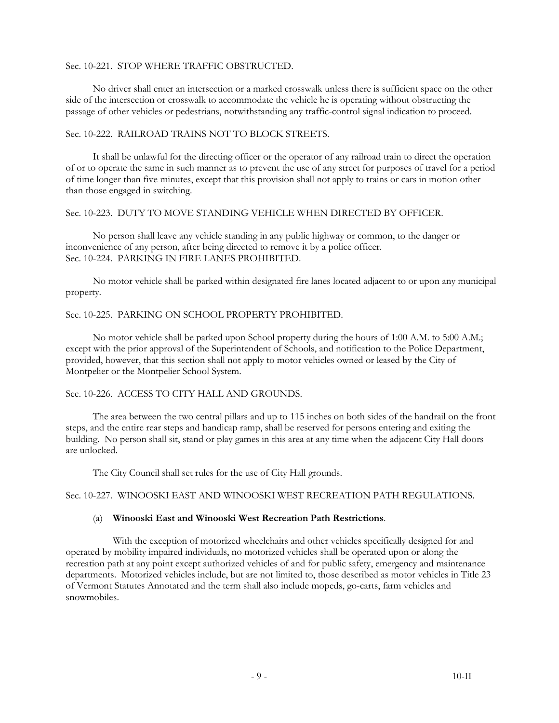#### Sec. 10-221. STOP WHERE TRAFFIC OBSTRUCTED.

No driver shall enter an intersection or a marked crosswalk unless there is sufficient space on the other side of the intersection or crosswalk to accommodate the vehicle he is operating without obstructing the passage of other vehicles or pedestrians, notwithstanding any traffic-control signal indication to proceed.

### Sec. 10-222. RAILROAD TRAINS NOT TO BLOCK STREETS.

It shall be unlawful for the directing officer or the operator of any railroad train to direct the operation of or to operate the same in such manner as to prevent the use of any street for purposes of travel for a period of time longer than five minutes, except that this provision shall not apply to trains or cars in motion other than those engaged in switching.

## Sec. 10-223. DUTY TO MOVE STANDING VEHICLE WHEN DIRECTED BY OFFICER.

No person shall leave any vehicle standing in any public highway or common, to the danger or inconvenience of any person, after being directed to remove it by a police officer. Sec. 10-224. PARKING IN FIRE LANES PROHIBITED.

No motor vehicle shall be parked within designated fire lanes located adjacent to or upon any municipal property.

# Sec. 10-225. PARKING ON SCHOOL PROPERTY PROHIBITED.

No motor vehicle shall be parked upon School property during the hours of 1:00 A.M. to 5:00 A.M.; except with the prior approval of the Superintendent of Schools, and notification to the Police Department, provided, however, that this section shall not apply to motor vehicles owned or leased by the City of Montpelier or the Montpelier School System.

# Sec. 10-226. ACCESS TO CITY HALL AND GROUNDS.

The area between the two central pillars and up to 115 inches on both sides of the handrail on the front steps, and the entire rear steps and handicap ramp, shall be reserved for persons entering and exiting the building. No person shall sit, stand or play games in this area at any time when the adjacent City Hall doors are unlocked.

The City Council shall set rules for the use of City Hall grounds.

Sec. 10-227. WINOOSKI EAST AND WINOOSKI WEST RECREATION PATH REGULATIONS.

# (a) **Winooski East and Winooski West Recreation Path Restrictions**.

 With the exception of motorized wheelchairs and other vehicles specifically designed for and operated by mobility impaired individuals, no motorized vehicles shall be operated upon or along the recreation path at any point except authorized vehicles of and for public safety, emergency and maintenance departments. Motorized vehicles include, but are not limited to, those described as motor vehicles in Title 23 of Vermont Statutes Annotated and the term shall also include mopeds, go-carts, farm vehicles and snowmobiles.